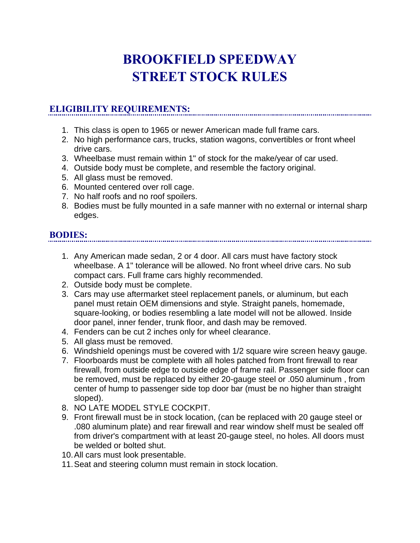# **BROOKFIELD SPEEDWAY STREET STOCK RULES**

## **ELIGIBILITY REQUIREMENTS:**

- 1. This class is open to 1965 or newer American made full frame cars.
- 2. No high performance cars, trucks, station wagons, convertibles or front wheel drive cars.
- 3. Wheelbase must remain within 1" of stock for the make/year of car used.
- 4. Outside body must be complete, and resemble the factory original.
- 5. All glass must be removed.
- 6. Mounted centered over roll cage.
- 7. No half roofs and no roof spoilers.
- 8. Bodies must be fully mounted in a safe manner with no external or internal sharp edges.

## **BODIES:**

- 1. Any American made sedan, 2 or 4 door. All cars must have factory stock wheelbase. A 1" tolerance will be allowed. No front wheel drive cars. No sub compact cars. Full frame cars highly recommended.
- 2. Outside body must be complete.
- 3. Cars may use aftermarket steel replacement panels, or aluminum, but each panel must retain OEM dimensions and style. Straight panels, homemade, square-looking, or bodies resembling a late model will not be allowed. Inside door panel, inner fender, trunk floor, and dash may be removed.
- 4. Fenders can be cut 2 inches only for wheel clearance.
- 5. All glass must be removed.
- 6. Windshield openings must be covered with 1/2 square wire screen heavy gauge.
- 7. Floorboards must be complete with all holes patched from front firewall to rear firewall, from outside edge to outside edge of frame rail. Passenger side floor can be removed, must be replaced by either 20-gauge steel or .050 aluminum , from center of hump to passenger side top door bar (must be no higher than straight sloped).
- 8. NO LATE MODEL STYLE COCKPIT.
- 9. Front firewall must be in stock location, (can be replaced with 20 gauge steel or .080 aluminum plate) and rear firewall and rear window shelf must be sealed off from driver's compartment with at least 20-gauge steel, no holes. All doors must be welded or bolted shut.
- 10.All cars must look presentable.
- 11.Seat and steering column must remain in stock location.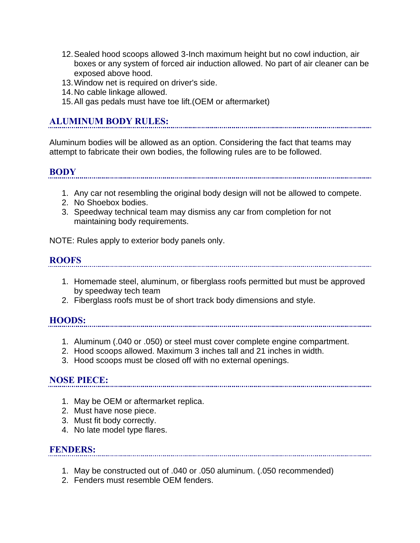- 12.Sealed hood scoops allowed 3-Inch maximum height but no cowl induction, air boxes or any system of forced air induction allowed. No part of air cleaner can be exposed above hood.
- 13.Window net is required on driver's side.
- 14.No cable linkage allowed.
- 15.All gas pedals must have toe lift.(OEM or aftermarket)

## **ALUMINUM BODY RULES:**

Aluminum bodies will be allowed as an option. Considering the fact that teams may attempt to fabricate their own bodies, the following rules are to be followed.

#### **BODY**

- 1. Any car not resembling the original body design will not be allowed to compete.
- 2. No Shoebox bodies.
- 3. Speedway technical team may dismiss any car from completion for not maintaining body requirements.

NOTE: Rules apply to exterior body panels only.

#### **ROOFS**

- 1. Homemade steel, aluminum, or fiberglass roofs permitted but must be approved by speedway tech team
- 2. Fiberglass roofs must be of short track body dimensions and style.

## **HOODS:**

- 1. Aluminum (.040 or .050) or steel must cover complete engine compartment.
- 2. Hood scoops allowed. Maximum 3 inches tall and 21 inches in width.
- 3. Hood scoops must be closed off with no external openings.

## **NOSE PIECE:**

- 1. May be OEM or aftermarket replica.
- 2. Must have nose piece.
- 3. Must fit body correctly.
- 4. No late model type flares.

#### **FENDERS:**

- 1. May be constructed out of .040 or .050 aluminum. (.050 recommended)
- 2. Fenders must resemble OEM fenders.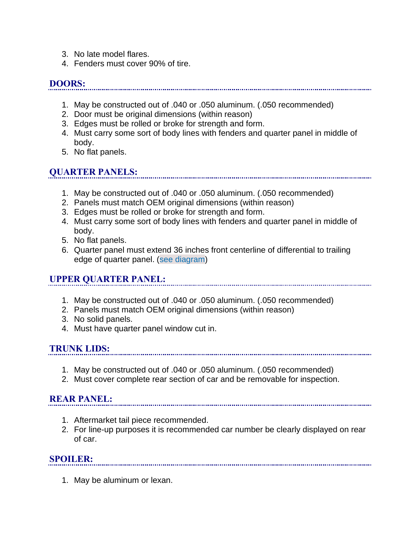- 3. No late model flares.
- 4. Fenders must cover 90% of tire.

#### **DOORS:**

- 
- 1. May be constructed out of .040 or .050 aluminum. (.050 recommended)
- 2. Door must be original dimensions (within reason)
- 3. Edges must be rolled or broke for strength and form.
- 4. Must carry some sort of body lines with fenders and quarter panel in middle of body.
- 5. No flat panels.

## **QUARTER PANELS:**

- 1. May be constructed out of .040 or .050 aluminum. (.050 recommended)
- 2. Panels must match OEM original dimensions (within reason)
- 3. Edges must be rolled or broke for strength and form.
- 4. Must carry some sort of body lines with fenders and quarter panel in middle of body.
- 5. No flat panels.
- 6. Quarter panel must extend 36 inches front centerline of differential to trailing edge of quarter panel. [\(see diagram\)](http://aftonmotorsportspark.com/rules-street-stock5.shtml#diagram)

## **UPPER QUARTER PANEL:**

- 1. May be constructed out of .040 or .050 aluminum. (.050 recommended)
- 2. Panels must match OEM original dimensions (within reason)
- 3. No solid panels.
- 4. Must have quarter panel window cut in.

## **TRUNK LIDS:**

- 1. May be constructed out of .040 or .050 aluminum. (.050 recommended)
- 2. Must cover complete rear section of car and be removable for inspection.

## **REAR PANEL:**

- 1. Aftermarket tail piece recommended.
- 2. For line-up purposes it is recommended car number be clearly displayed on rear of car.

#### **SPOILER:**

1. May be aluminum or lexan.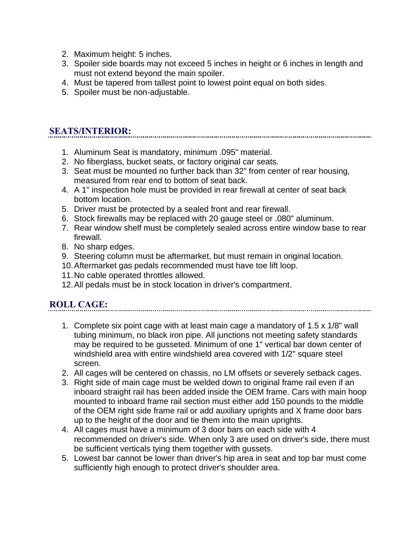- 2. Maximum height: 5 inches.
- 3. Spoiler side boards may not exceed 5 inches in height or 6 inches in length and must not extend beyond the main spoiler.
- 4. Must be tapered from tallest point to lowest point equal on both sides.
- 5. Spoiler must be non-adjustable.

## **SEATS/INTERIOR:**

- 1. Aluminum Seat is mandatory, minimum .095" material.
- 2. No fiberglass, bucket seats, or factory original car seats.
- 3. Seat must be mounted no further back than 32" from center of rear housing, measured from rear end to bottom of seat back.
- 4. A 1" inspection hole must be provided in rear firewall at center of seat back bottom location.
- 5. Driver must be protected by a sealed front and rear firewall.
- 6. Stock firewalls may be replaced with 20 gauge steel or .080" aluminum.
- 7. Rear window shelf must be completely sealed across entire window base to rear firewall.
- 8. No sharp edges.
- 9. Steering column must be aftermarket, but must remain in original location.
- 10.Aftermarket gas pedals recommended must have toe lift loop.
- 11.No cable operated throttles allowed.
- 12.All pedals must be in stock location in driver's compartment.

## **ROLL CAGE:**

- 1. Complete six point cage with at least main cage a mandatory of 1.5 x 1/8" wall tubing minimum, no black iron pipe. All junctions not meeting safety standards may be required to be gusseted. Minimum of one 1" vertical bar down center of windshield area with entire windshield area covered with 1/2" square steel screen.
- 2. All cages will be centered on chassis, no LM offsets or severely setback cages.
- 3. Right side of main cage must be welded down to original frame rail even if an inboard straight rail has been added inside the OEM frame. Cars with main hoop mounted to inboard frame rail section must either add 150 pounds to the middle of the OEM right side frame rail or add auxiliary uprights and X frame door bars up to the height of the door and tie them into the main uprights.
- 4. All cages must have a minimum of 3 door bars on each side with 4 recommended on driver's side. When only 3 are used on driver's side, there must be sufficient verticals tying them together with gussets.
- 5. Lowest bar cannot be lower than driver's hip area in seat and top bar must come sufficiently high enough to protect driver's shoulder area.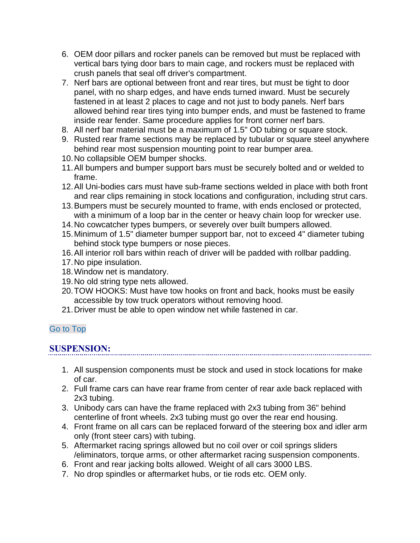- 6. OEM door pillars and rocker panels can be removed but must be replaced with vertical bars tying door bars to main cage, and rockers must be replaced with crush panels that seal off driver's compartment.
- 7. Nerf bars are optional between front and rear tires, but must be tight to door panel, with no sharp edges, and have ends turned inward. Must be securely fastened in at least 2 places to cage and not just to body panels. Nerf bars allowed behind rear tires tying into bumper ends, and must be fastened to frame inside rear fender. Same procedure applies for front corner nerf bars.
- 8. All nerf bar material must be a maximum of 1.5" OD tubing or square stock.
- 9. Rusted rear frame sections may be replaced by tubular or square steel anywhere behind rear most suspension mounting point to rear bumper area.
- 10.No collapsible OEM bumper shocks.
- 11.All bumpers and bumper support bars must be securely bolted and or welded to frame.
- 12.All Uni-bodies cars must have sub-frame sections welded in place with both front and rear clips remaining in stock locations and configuration, including strut cars.
- 13.Bumpers must be securely mounted to frame, with ends enclosed or protected, with a minimum of a loop bar in the center or heavy chain loop for wrecker use.
- 14.No cowcatcher types bumpers, or severely over built bumpers allowed.
- 15.Minimum of 1.5" diameter bumper support bar, not to exceed 4" diameter tubing behind stock type bumpers or nose pieces.
- 16.All interior roll bars within reach of driver will be padded with rollbar padding.
- 17.No pipe insulation.
- 18.Window net is mandatory.
- 19.No old string type nets allowed.
- 20.TOW HOOKS: Must have tow hooks on front and back, hooks must be easily accessible by tow truck operators without removing hood.
- 21.Driver must be able to open window net while fastened in car.

#### [Go to Top](http://aftonmotorsportspark.com/rules-street-stock2.shtml#top)

#### **SUSPENSION:**

- 1. All suspension components must be stock and used in stock locations for make of car.
- 2. Full frame cars can have rear frame from center of rear axle back replaced with 2x3 tubing.
- 3. Unibody cars can have the frame replaced with 2x3 tubing from 36" behind centerline of front wheels. 2x3 tubing must go over the rear end housing.
- 4. Front frame on all cars can be replaced forward of the steering box and idler arm only (front steer cars) with tubing.
- 5. Aftermarket racing springs allowed but no coil over or coil springs sliders /eliminators, torque arms, or other aftermarket racing suspension components.
- 6. Front and rear jacking bolts allowed. Weight of all cars 3000 LBS.
- 7. No drop spindles or aftermarket hubs, or tie rods etc. OEM only.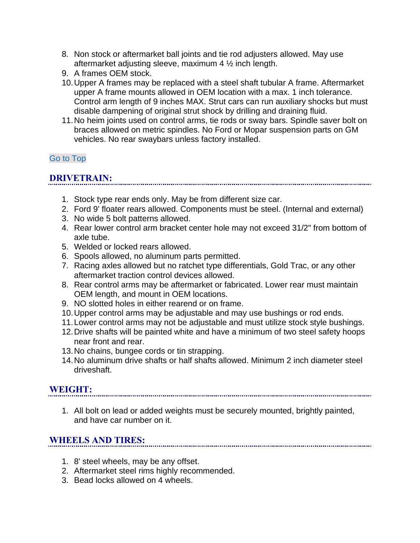- 8. Non stock or aftermarket ball joints and tie rod adjusters allowed. May use aftermarket adjusting sleeve, maximum 4 ½ inch length.
- 9. A frames OEM stock.
- 10.Upper A frames may be replaced with a steel shaft tubular A frame. Aftermarket upper A frame mounts allowed in OEM location with a max. 1 inch tolerance. Control arm length of 9 inches MAX. Strut cars can run auxiliary shocks but must disable dampening of original strut shock by drilling and draining fluid.
- 11.No heim joints used on control arms, tie rods or sway bars. Spindle saver bolt on braces allowed on metric spindles. No Ford or Mopar suspension parts on GM vehicles. No rear swaybars unless factory installed.

#### [Go to Top](http://aftonmotorsportspark.com/rules-street-stock2.shtml#top)

#### **DRIVETRAIN:**

- 1. Stock type rear ends only. May be from different size car.
- 2. Ford 9' floater rears allowed. Components must be steel. (Internal and external)
- 3. No wide 5 bolt patterns allowed.
- 4. Rear lower control arm bracket center hole may not exceed 31/2" from bottom of axle tube.
- 5. Welded or locked rears allowed.
- 6. Spools allowed, no aluminum parts permitted.
- 7. Racing axles allowed but no ratchet type differentials, Gold Trac, or any other aftermarket traction control devices allowed.
- 8. Rear control arms may be aftermarket or fabricated. Lower rear must maintain OEM length, and mount in OEM locations.
- 9. NO slotted holes in either rearend or on frame.
- 10.Upper control arms may be adjustable and may use bushings or rod ends.
- 11.Lower control arms may not be adjustable and must utilize stock style bushings.
- 12.Drive shafts will be painted white and have a minimum of two steel safety hoops near front and rear.
- 13.No chains, bungee cords or tin strapping.
- 14.No aluminum drive shafts or half shafts allowed. Minimum 2 inch diameter steel driveshaft.

#### **WEIGHT:**

1. All bolt on lead or added weights must be securely mounted, brightly painted, and have car number on it.

#### **WHEELS AND TIRES:**

- 1. 8' steel wheels, may be any offset.
- 2. Aftermarket steel rims highly recommended.
- 3. Bead locks allowed on 4 wheels.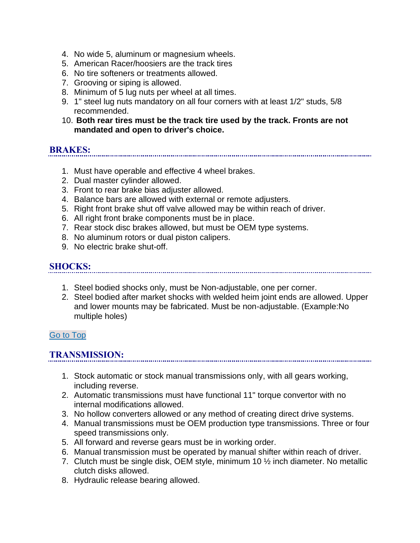- 4. No wide 5, aluminum or magnesium wheels.
- 5. American Racer/hoosiers are the track tires
- 6. No tire softeners or treatments allowed.
- 7. Grooving or siping is allowed.
- 8. Minimum of 5 lug nuts per wheel at all times.
- 9. 1" steel lug nuts mandatory on all four corners with at least 1/2" studs, 5/8 recommended.
- 10. **Both rear tires must be the track tire used by the track. Fronts are not mandated and open to driver's choice.**

#### **BRAKES:**

- 1. Must have operable and effective 4 wheel brakes.
- 2. Dual master cylinder allowed.
- 3. Front to rear brake bias adjuster allowed.
- 4. Balance bars are allowed with external or remote adjusters.
- 5. Right front brake shut off valve allowed may be within reach of driver.
- 6. All right front brake components must be in place.
- 7. Rear stock disc brakes allowed, but must be OEM type systems.
- 8. No aluminum rotors or dual piston calipers.
- 9. No electric brake shut-off.

#### **SHOCKS:**

- 1. Steel bodied shocks only, must be Non-adjustable, one per corner.
- 2. Steel bodied after market shocks with welded heim joint ends are allowed. Upper and lower mounts may be fabricated. Must be non-adjustable. (Example:No multiple holes)

#### [Go to Top](http://aftonmotorsportspark.com/rules-street-stock3.shtml#top)

#### **TRANSMISSION:**

- 1. Stock automatic or stock manual transmissions only, with all gears working, including reverse.
- 2. Automatic transmissions must have functional 11" torque convertor with no internal modifications allowed.
- 3. No hollow converters allowed or any method of creating direct drive systems.
- 4. Manual transmissions must be OEM production type transmissions. Three or four speed transmissions only.
- 5. All forward and reverse gears must be in working order.
- 6. Manual transmission must be operated by manual shifter within reach of driver.
- 7. Clutch must be single disk, OEM style, minimum 10 ½ inch diameter. No metallic clutch disks allowed.
- 8. Hydraulic release bearing allowed.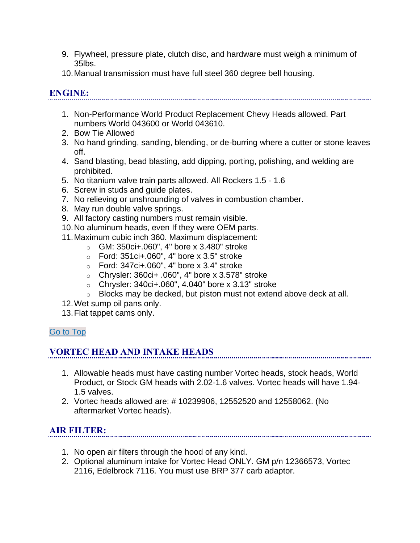- 9. Flywheel, pressure plate, clutch disc, and hardware must weigh a minimum of 35lbs.
- 10.Manual transmission must have full steel 360 degree bell housing.

### **ENGINE:**

- 1. Non-Performance World Product Replacement Chevy Heads allowed. Part numbers World 043600 or World 043610.
- 2. Bow Tie Allowed
- 3. No hand grinding, sanding, blending, or de-burring where a cutter or stone leaves off.
- 4. Sand blasting, bead blasting, add dipping, porting, polishing, and welding are prohibited.
- 5. No titanium valve train parts allowed. All Rockers 1.5 1.6
- 6. Screw in studs and guide plates.
- 7. No relieving or unshrounding of valves in combustion chamber.
- 8. May run double valve springs.
- 9. All factory casting numbers must remain visible.
- 10.No aluminum heads, even If they were OEM parts.
- 11.Maximum cubic inch 360. Maximum displacement:
	- o GM: 350ci+.060", 4" bore x 3.480" stroke
	- $\circ$  Ford: 351ci+.060", 4" bore x 3.5" stroke
	- $\circ$  Ford: 347ci+.060", 4" bore x 3.4" stroke
	- $\circ$  Chrysler: 360ci+ .060", 4" bore x 3.578" stroke
	- $\circ$  Chrysler: 340ci+.060", 4.040" bore x 3.13" stroke
	- $\circ$  Blocks may be decked, but piston must not extend above deck at all.
- 12.Wet sump oil pans only.
- 13.Flat tappet cams only.

#### [Go to Top](http://aftonmotorsportspark.com/rules-street-stock3.shtml#top)

## **VORTEC HEAD AND INTAKE HEADS**

- 1. Allowable heads must have casting number Vortec heads, stock heads, World Product, or Stock GM heads with 2.02-1.6 valves. Vortec heads will have 1.94- 1.5 valves.
- 2. Vortec heads allowed are: # 10239906, 12552520 and 12558062. (No aftermarket Vortec heads).

## **AIR FILTER:**

- 1. No open air filters through the hood of any kind.
- 2. Optional aluminum intake for Vortec Head ONLY. GM p/n 12366573, Vortec 2116, Edelbrock 7116. You must use BRP 377 carb adaptor.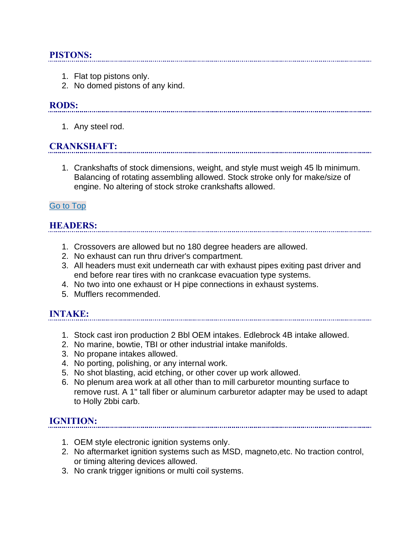### **PISTONS:**

- 1. Flat top pistons only.
- 2. No domed pistons of any kind.

#### **RODS:**

1. Any steel rod.

## **CRANKSHAFT:**

1. Crankshafts of stock dimensions, weight, and style must weigh 45 lb minimum. Balancing of rotating assembling allowed. Stock stroke only for make/size of engine. No altering of stock stroke crankshafts allowed.

#### [Go to Top](http://aftonmotorsportspark.com/rules-street-stock4.shtml#top)

#### **HEADERS:**

- - 1. Crossovers are allowed but no 180 degree headers are allowed.
	- 2. No exhaust can run thru driver's compartment.
	- 3. All headers must exit underneath car with exhaust pipes exiting past driver and end before rear tires with no crankcase evacuation type systems.
	- 4. No two into one exhaust or H pipe connections in exhaust systems.
	- 5. Mufflers recommended.

# **INTAKE:**

- 1. Stock cast iron production 2 Bbl OEM intakes. Edlebrock 4B intake allowed.
- 2. No marine, bowtie, TBI or other industrial intake manifolds.
- 3. No propane intakes allowed.
- 4. No porting, polishing, or any internal work.
- 5. No shot blasting, acid etching, or other cover up work allowed.
- 6. No plenum area work at all other than to mill carburetor mounting surface to remove rust. A 1" tall fiber or aluminum carburetor adapter may be used to adapt to Holly 2bbi carb.

# **IGNITION:**

- 1. OEM style electronic ignition systems only.
- 2. No aftermarket ignition systems such as MSD, magneto,etc. No traction control, or timing altering devices allowed.
- 3. No crank trigger ignitions or multi coil systems.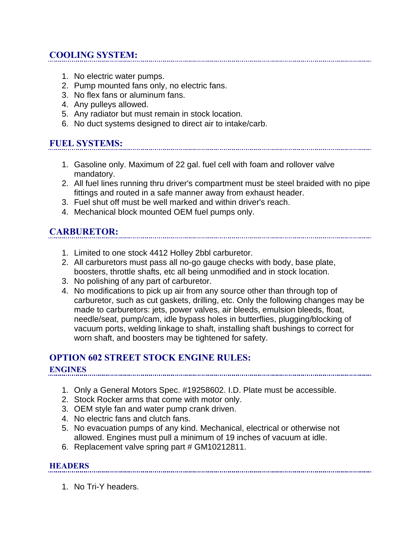# **COOLING SYSTEM:**

- 1. No electric water pumps.
- 2. Pump mounted fans only, no electric fans.
- 3. No flex fans or aluminum fans.
- 4. Any pulleys allowed.
- 5. Any radiator but must remain in stock location.
- 6. No duct systems designed to direct air to intake/carb.

# **FUEL SYSTEMS:**

- 1. Gasoline only. Maximum of 22 gal. fuel cell with foam and rollover valve mandatory.
- 2. All fuel lines running thru driver's compartment must be steel braided with no pipe fittings and routed in a safe manner away from exhaust header.
- 3. Fuel shut off must be well marked and within driver's reach.
- 4. Mechanical block mounted OEM fuel pumps only.

# **CARBURETOR:**

- 1. Limited to one stock 4412 Holley 2bbl carburetor.
- 2. All carburetors must pass all no-go gauge checks with body, base plate, boosters, throttle shafts, etc all being unmodified and in stock location.
- 3. No polishing of any part of carburetor.
- 4. No modifications to pick up air from any source other than through top of carburetor, such as cut gaskets, drilling, etc. Only the following changes may be made to carburetors: jets, power valves, air bleeds, emulsion bleeds, float, needle/seat, pump/cam, idle bypass holes in butterflies, plugging/blocking of vacuum ports, welding linkage to shaft, installing shaft bushings to correct for worn shaft, and boosters may be tightened for safety.

# **OPTION 602 STREET STOCK ENGINE RULES:**

#### **ENGINES**

- 1. Only a General Motors Spec. #19258602. I.D. Plate must be accessible.
- 2. Stock Rocker arms that come with motor only.
- 3. OEM style fan and water pump crank driven.
- 4. No electric fans and clutch fans.
- 5. No evacuation pumps of any kind. Mechanical, electrical or otherwise not allowed. Engines must pull a minimum of 19 inches of vacuum at idle.
- 6. Replacement valve spring part # GM10212811.

#### **HEADERS**

1. No Tri-Y headers.